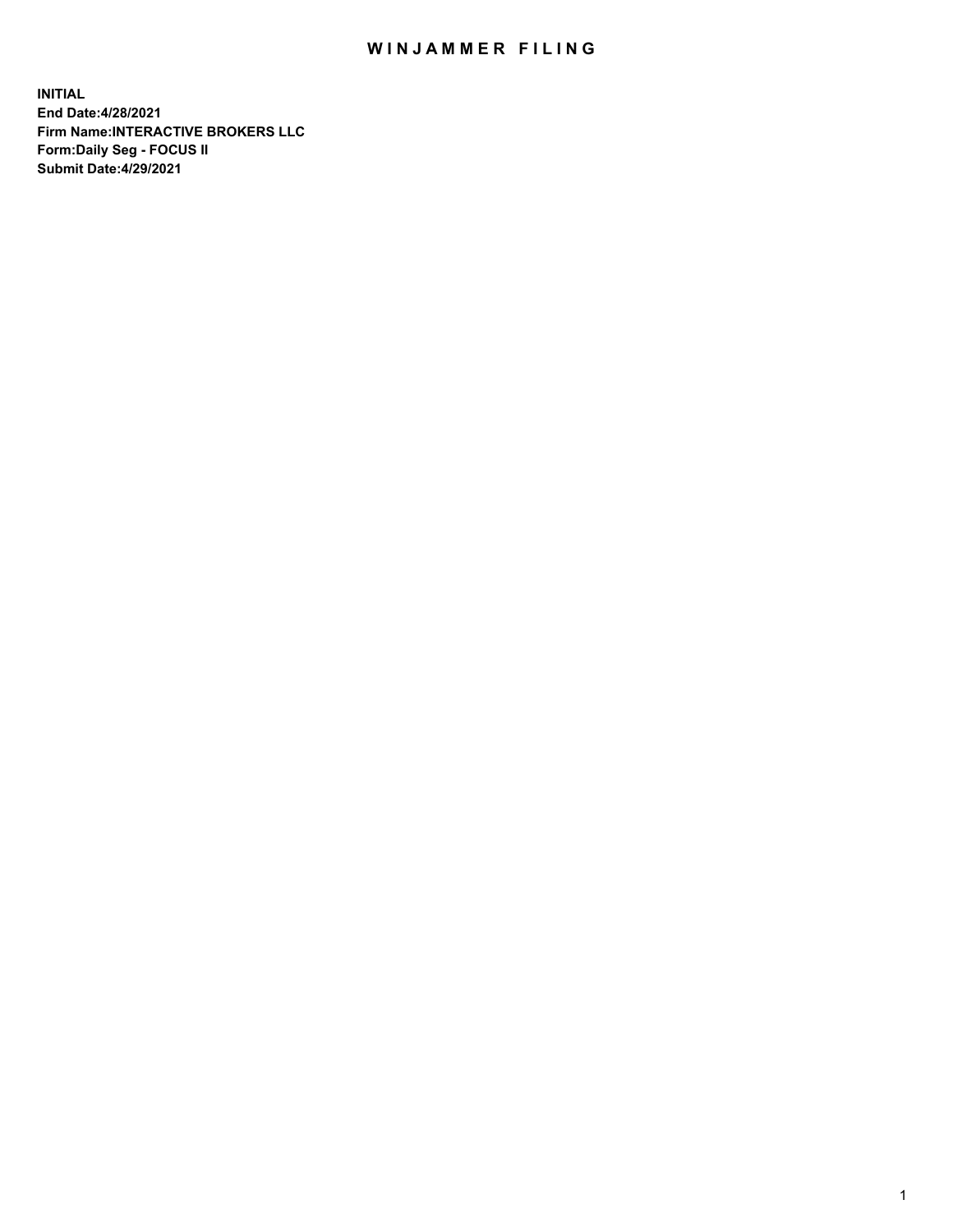## WIN JAMMER FILING

**INITIAL End Date:4/28/2021 Firm Name:INTERACTIVE BROKERS LLC Form:Daily Seg - FOCUS II Submit Date:4/29/2021**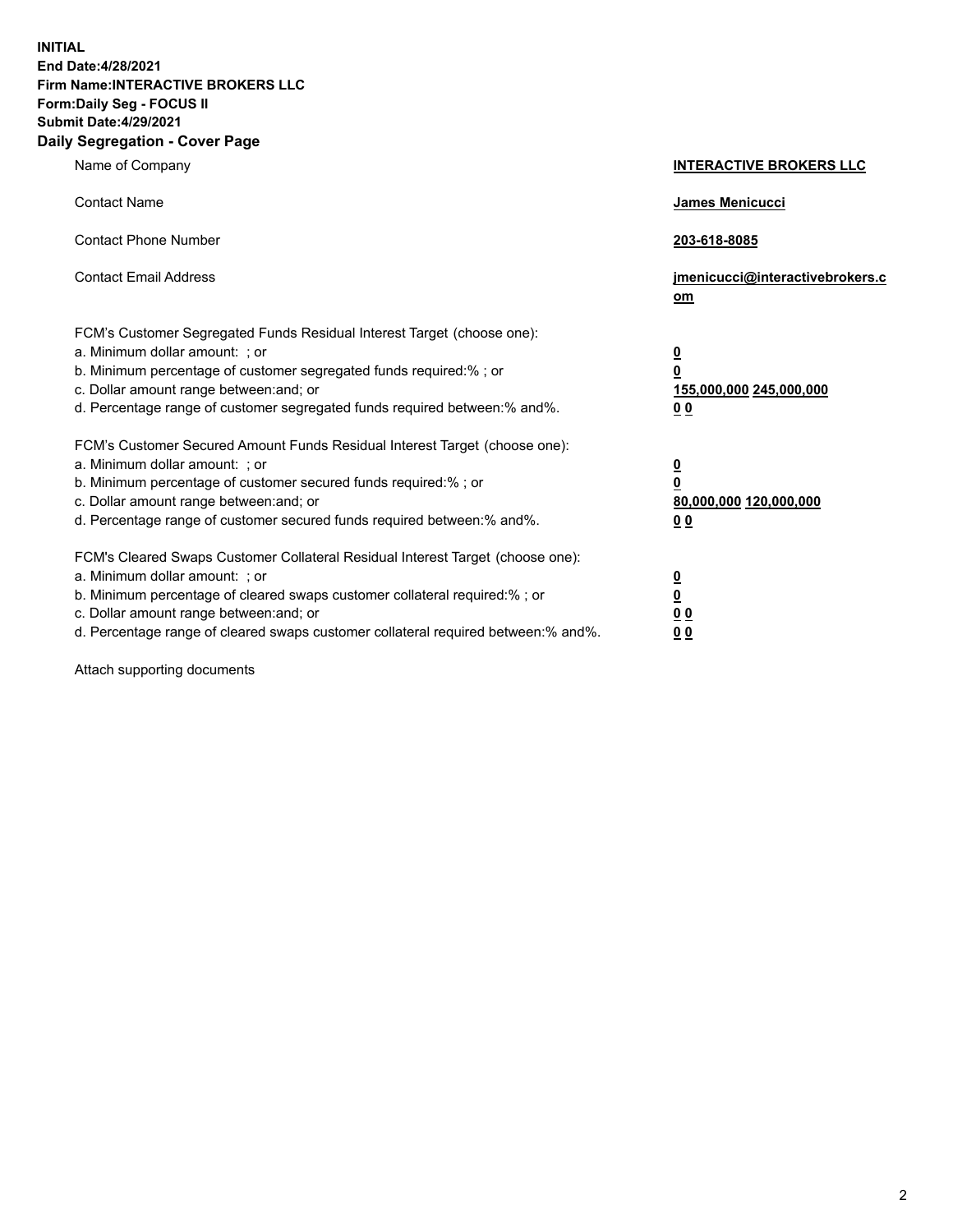**INITIAL End Date:4/28/2021 Firm Name:INTERACTIVE BROKERS LLC Form:Daily Seg - FOCUS II Submit Date:4/29/2021 Daily Segregation - Cover Page**

| Name of Company                                                                                                                                                                                                                                                                                                                | <b>INTERACTIVE BROKERS LLC</b>                                                                  |  |
|--------------------------------------------------------------------------------------------------------------------------------------------------------------------------------------------------------------------------------------------------------------------------------------------------------------------------------|-------------------------------------------------------------------------------------------------|--|
| <b>Contact Name</b>                                                                                                                                                                                                                                                                                                            | <b>James Menicucci</b>                                                                          |  |
| <b>Contact Phone Number</b>                                                                                                                                                                                                                                                                                                    | 203-618-8085                                                                                    |  |
| <b>Contact Email Address</b>                                                                                                                                                                                                                                                                                                   | jmenicucci@interactivebrokers.c<br><u>om</u>                                                    |  |
| FCM's Customer Segregated Funds Residual Interest Target (choose one):<br>a. Minimum dollar amount: ; or<br>b. Minimum percentage of customer segregated funds required:%; or<br>c. Dollar amount range between: and; or<br>d. Percentage range of customer segregated funds required between:% and%.                          | $\overline{\mathbf{0}}$<br>$\overline{\mathbf{0}}$<br>155,000,000 245,000,000<br>0 <sub>0</sub> |  |
| FCM's Customer Secured Amount Funds Residual Interest Target (choose one):<br>a. Minimum dollar amount: ; or<br>b. Minimum percentage of customer secured funds required:%; or<br>c. Dollar amount range between: and; or<br>d. Percentage range of customer secured funds required between:% and%.                            | $\overline{\mathbf{0}}$<br>$\overline{\mathbf{0}}$<br>80,000,000 120,000,000<br>0 <sub>0</sub>  |  |
| FCM's Cleared Swaps Customer Collateral Residual Interest Target (choose one):<br>a. Minimum dollar amount: ; or<br>b. Minimum percentage of cleared swaps customer collateral required:% ; or<br>c. Dollar amount range between: and; or<br>d. Percentage range of cleared swaps customer collateral required between:% and%. | $\overline{\mathbf{0}}$<br>$\underline{\mathbf{0}}$<br>$\underline{0}$ $\underline{0}$<br>00    |  |

Attach supporting documents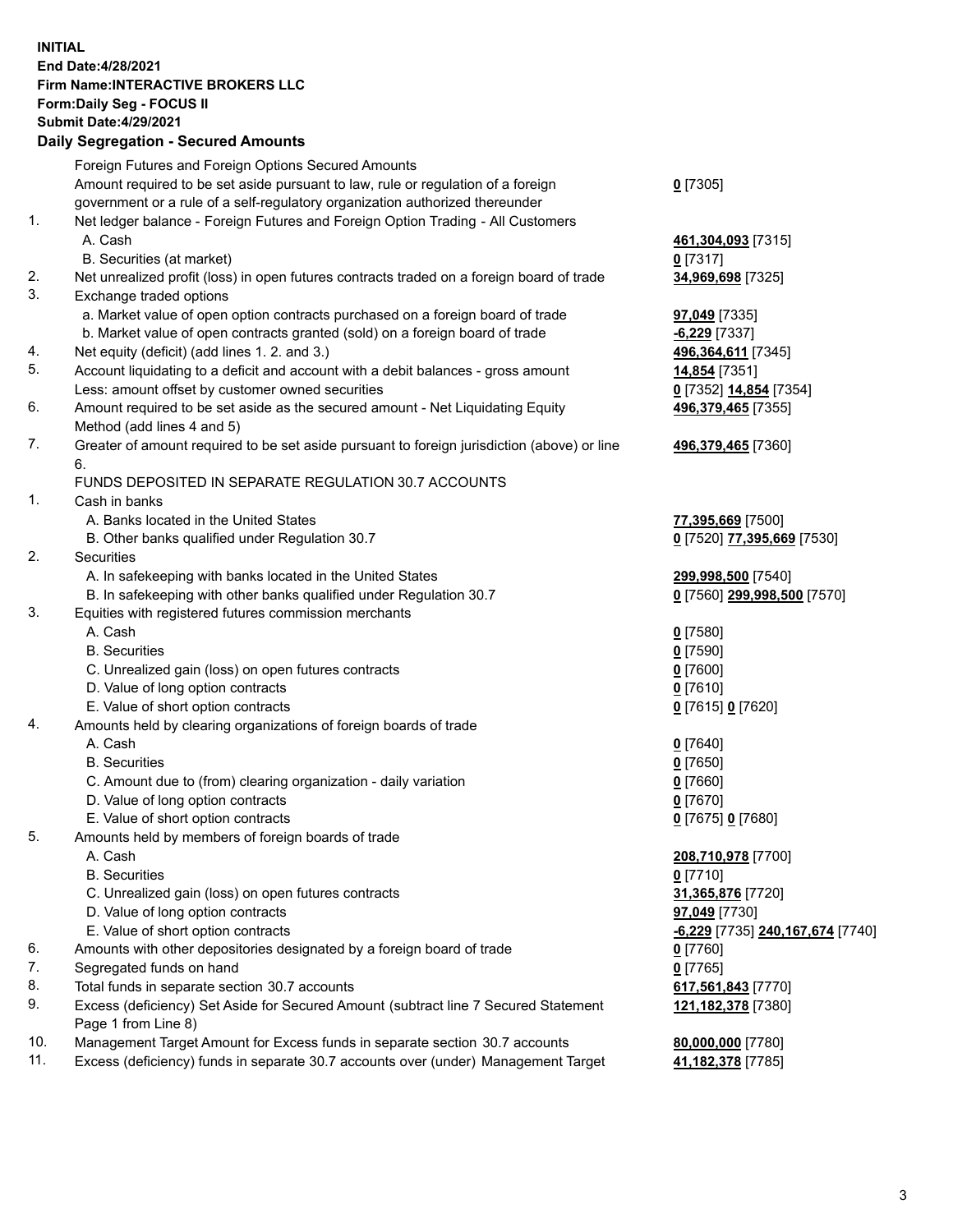**INITIAL End Date:4/28/2021 Firm Name:INTERACTIVE BROKERS LLC Form:Daily Seg - FOCUS II Submit Date:4/29/2021 Daily Segregation - Secured Amounts**

## Foreign Futures and Foreign Options Secured Amounts Amount required to be set aside pursuant to law, rule or regulation of a foreign government or a rule of a self-regulatory organization authorized thereunder **0** [7305] 1. Net ledger balance - Foreign Futures and Foreign Option Trading - All Customers A. Cash **461,304,093** [7315] B. Securities (at market) **0** [7317] 2. Net unrealized profit (loss) in open futures contracts traded on a foreign board of trade **34,969,698** [7325] 3. Exchange traded options a. Market value of open option contracts purchased on a foreign board of trade **97,049** [7335] b. Market value of open contracts granted (sold) on a foreign board of trade **-6,229** [7337] 4. Net equity (deficit) (add lines 1. 2. and 3.) **496,364,611** [7345] 5. Account liquidating to a deficit and account with a debit balances - gross amount **14,854** [7351] Less: amount offset by customer owned securities **0** [7352] **14,854** [7354] 6. Amount required to be set aside as the secured amount - Net Liquidating Equity Method (add lines 4 and 5) **496,379,465** [7355] 7. Greater of amount required to be set aside pursuant to foreign jurisdiction (above) or line 6. **496,379,465** [7360] FUNDS DEPOSITED IN SEPARATE REGULATION 30.7 ACCOUNTS 1. Cash in banks A. Banks located in the United States **77,395,669** [7500] B. Other banks qualified under Regulation 30.7 **0** [7520] **77,395,669** [7530] 2. Securities A. In safekeeping with banks located in the United States **299,998,500** [7540] B. In safekeeping with other banks qualified under Regulation 30.7 **0** [7560] **299,998,500** [7570] 3. Equities with registered futures commission merchants A. Cash **0** [7580] B. Securities **0** [7590] C. Unrealized gain (loss) on open futures contracts **0** [7600] D. Value of long option contracts **0** [7610] E. Value of short option contracts **0** [7615] **0** [7620] 4. Amounts held by clearing organizations of foreign boards of trade A. Cash **0** [7640] B. Securities **0** [7650] C. Amount due to (from) clearing organization - daily variation **0** [7660] D. Value of long option contracts **0** [7670] E. Value of short option contracts **0** [7675] **0** [7680] 5. Amounts held by members of foreign boards of trade A. Cash **208,710,978** [7700] B. Securities **0** [7710] C. Unrealized gain (loss) on open futures contracts **31,365,876** [7720] D. Value of long option contracts **97,049** [7730] E. Value of short option contracts **-6,229** [7735] **240,167,674** [7740] 6. Amounts with other depositories designated by a foreign board of trade **0** [7760] 7. Segregated funds on hand **0** [7765] 8. Total funds in separate section 30.7 accounts **617,561,843** [7770] 9. Excess (deficiency) Set Aside for Secured Amount (subtract line 7 Secured Statement Page 1 from Line 8) **121,182,378** [7380] 10. Management Target Amount for Excess funds in separate section 30.7 accounts **80,000,000** [7780] 11. Excess (deficiency) funds in separate 30.7 accounts over (under) Management Target **41,182,378** [7785]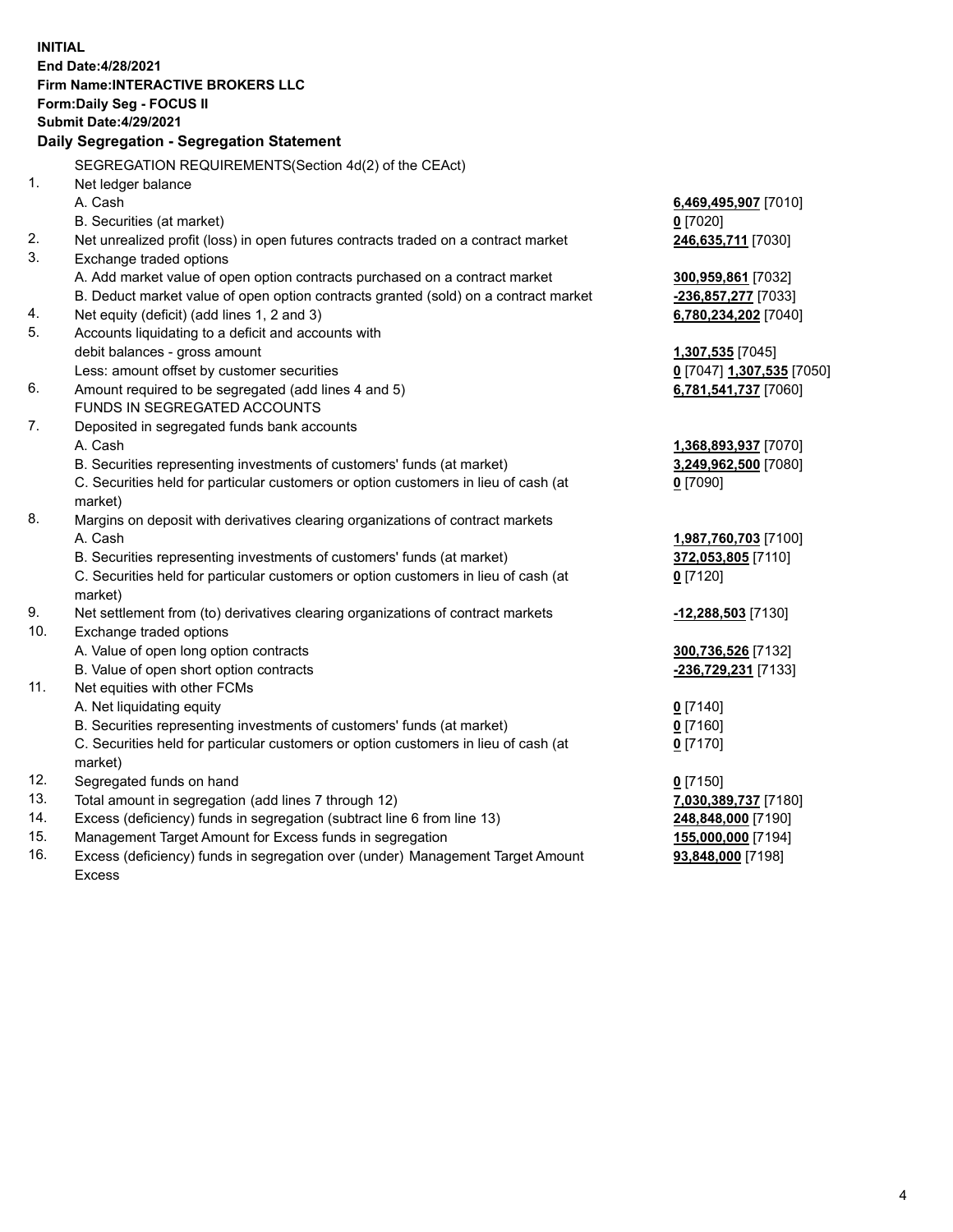**INITIAL End Date:4/28/2021 Firm Name:INTERACTIVE BROKERS LLC Form:Daily Seg - FOCUS II Submit Date:4/29/2021 Daily Segregation - Segregation Statement** SEGREGATION REQUIREMENTS(Section 4d(2) of the CEAct) 1. Net ledger balance A. Cash **6,469,495,907** [7010] B. Securities (at market) **0** [7020] 2. Net unrealized profit (loss) in open futures contracts traded on a contract market **246,635,711** [7030] 3. Exchange traded options A. Add market value of open option contracts purchased on a contract market **300,959,861** [7032] B. Deduct market value of open option contracts granted (sold) on a contract market **-236,857,277** [7033] 4. Net equity (deficit) (add lines 1, 2 and 3) **6,780,234,202** [7040] 5. Accounts liquidating to a deficit and accounts with debit balances - gross amount **1,307,535** [7045] Less: amount offset by customer securities **0** [7047] **1,307,535** [7050] 6. Amount required to be segregated (add lines 4 and 5) **6,781,541,737** [7060] FUNDS IN SEGREGATED ACCOUNTS 7. Deposited in segregated funds bank accounts A. Cash **1,368,893,937** [7070] B. Securities representing investments of customers' funds (at market) **3,249,962,500** [7080] C. Securities held for particular customers or option customers in lieu of cash (at market) **0** [7090] 8. Margins on deposit with derivatives clearing organizations of contract markets A. Cash **1,987,760,703** [7100] B. Securities representing investments of customers' funds (at market) **372,053,805** [7110] C. Securities held for particular customers or option customers in lieu of cash (at market) **0** [7120] 9. Net settlement from (to) derivatives clearing organizations of contract markets **-12,288,503** [7130] 10. Exchange traded options A. Value of open long option contracts **300,736,526** [7132] B. Value of open short option contracts **-236,729,231** [7133] 11. Net equities with other FCMs A. Net liquidating equity **0** [7140] B. Securities representing investments of customers' funds (at market) **0** [7160] C. Securities held for particular customers or option customers in lieu of cash (at market) **0** [7170] 12. Segregated funds on hand **0** [7150] 13. Total amount in segregation (add lines 7 through 12) **7,030,389,737** [7180] 14. Excess (deficiency) funds in segregation (subtract line 6 from line 13) **248,848,000** [7190] 15. Management Target Amount for Excess funds in segregation **155,000,000** [7194] **93,848,000** [7198]

16. Excess (deficiency) funds in segregation over (under) Management Target Amount Excess